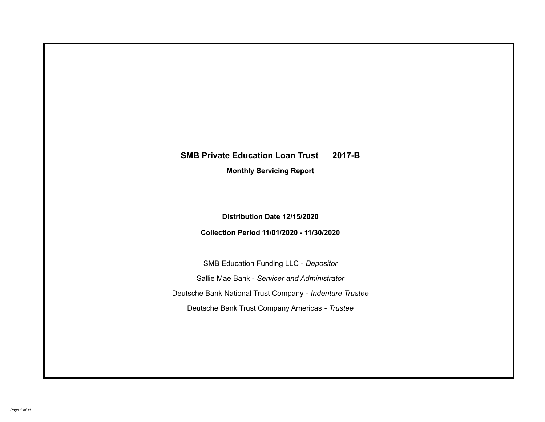# **SMB Private Education Loan Trust 2017-B Monthly Servicing Report**

**Distribution Date 12/15/2020**

**Collection Period 11/01/2020 - 11/30/2020**

SMB Education Funding LLC - *Depositor* Sallie Mae Bank - *Servicer and Administrator* Deutsche Bank National Trust Company - *Indenture Trustee* Deutsche Bank Trust Company Americas - *Trustee*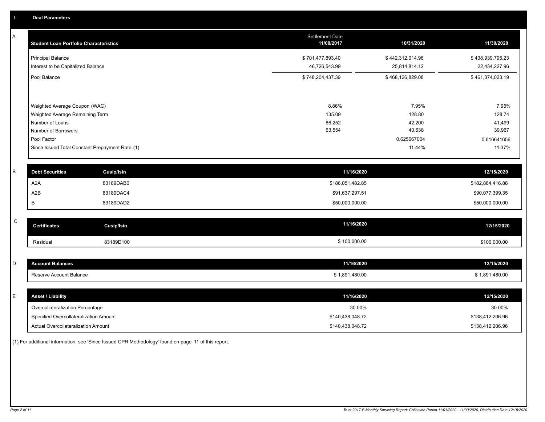| Α         | <b>Student Loan Portfolio Characteristics</b>   |                   | <b>Settlement Date</b><br>11/08/2017 | 10/31/2020       | 11/30/2020       |
|-----------|-------------------------------------------------|-------------------|--------------------------------------|------------------|------------------|
|           | <b>Principal Balance</b>                        |                   | \$701,477,893.40                     | \$442,312,014.96 | \$438,939,795.23 |
|           | Interest to be Capitalized Balance              |                   | 46,726,543.99                        | 25,814,814.12    | 22,434,227.96    |
|           | Pool Balance                                    |                   | \$748,204,437.39                     | \$468,126,829.08 | \$461,374,023.19 |
|           | Weighted Average Coupon (WAC)                   |                   | 8.86%                                | 7.95%            | 7.95%            |
|           | Weighted Average Remaining Term                 |                   | 135.09                               | 128.80           | 128.74           |
|           | Number of Loans                                 |                   | 66,252                               | 42,200           | 41,499           |
|           | Number of Borrowers                             |                   | 63,554                               | 40,638           | 39,967           |
|           | Pool Factor                                     |                   |                                      | 0.625667004      | 0.616641656      |
|           | Since Issued Total Constant Prepayment Rate (1) |                   |                                      | 11.44%           | 11.37%           |
|           |                                                 |                   |                                      |                  |                  |
| $\sf B$   | <b>Debt Securities</b>                          | <b>Cusip/Isin</b> | 11/16/2020                           |                  | 12/15/2020       |
|           | A <sub>2</sub> A                                | 83189DAB6         | \$186,051,482.85                     |                  | \$182,884,416.88 |
|           | A2B                                             | 83189DAC4         | \$91,637,297.51                      |                  | \$90,077,399.35  |
|           | В                                               | 83189DAD2         | \$50,000,000.00                      |                  | \$50,000,000.00  |
| ${\rm c}$ |                                                 |                   |                                      |                  |                  |
|           | <b>Certificates</b>                             | <b>Cusip/Isin</b> | 11/16/2020                           |                  | 12/15/2020       |
|           | Residual                                        | 83189D100         | \$100,000.00                         |                  | \$100,000.00     |
|           |                                                 |                   |                                      |                  |                  |
| D         | <b>Account Balances</b>                         |                   | 11/16/2020                           |                  | 12/15/2020       |
|           | Reserve Account Balance                         |                   | \$1,891,480.00                       |                  | \$1,891,480.00   |
|           |                                                 |                   |                                      |                  |                  |
| E         | <b>Asset / Liability</b>                        |                   | 11/16/2020                           |                  | 12/15/2020       |
|           | Overcollateralization Percentage                |                   | 30.00%                               |                  | 30.00%           |
|           | Specified Overcollateralization Amount          |                   | \$140,438,048.72                     |                  | \$138,412,206.96 |
|           | Actual Overcollateralization Amount             |                   | \$140,438,048.72                     |                  | \$138,412,206.96 |

(1) For additional information, see 'Since Issued CPR Methodology' found on page 11 of this report.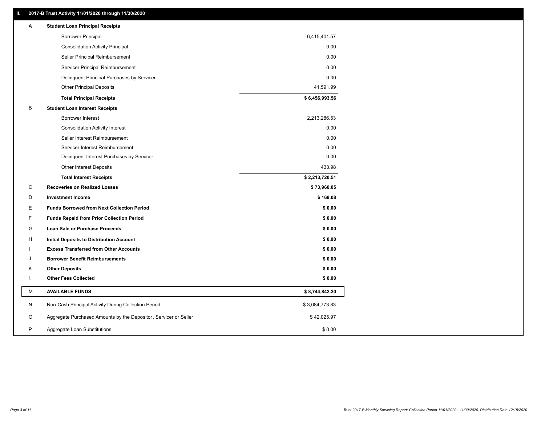# **II. 2017-B Trust Activity 11/01/2020 through 11/30/2020**

| <b>Borrower Principal</b><br>6,415,401.57<br>0.00<br><b>Consolidation Activity Principal</b><br>Seller Principal Reimbursement<br>0.00<br>Servicer Principal Reimbursement<br>0.00<br>0.00<br>Delinquent Principal Purchases by Servicer<br>41,591.99<br><b>Other Principal Deposits</b><br>\$6,456,993.56<br><b>Total Principal Receipts</b><br>B<br><b>Student Loan Interest Receipts</b><br><b>Borrower Interest</b><br>2,213,286.53<br>0.00<br><b>Consolidation Activity Interest</b><br>Seller Interest Reimbursement<br>0.00<br>0.00<br>Servicer Interest Reimbursement<br>0.00<br>Delinquent Interest Purchases by Servicer<br>433.98<br>Other Interest Deposits<br><b>Total Interest Receipts</b><br>\$2,213,720.51<br>С<br><b>Recoveries on Realized Losses</b><br>\$73,960.05<br>\$168.08<br>D<br><b>Investment Income</b><br>E<br><b>Funds Borrowed from Next Collection Period</b><br>\$0.00<br>F<br>\$0.00<br><b>Funds Repaid from Prior Collection Period</b><br>G<br>\$0.00<br>Loan Sale or Purchase Proceeds<br>\$0.00<br>н<br>Initial Deposits to Distribution Account<br><b>Excess Transferred from Other Accounts</b><br>\$0.00<br>\$0.00<br><b>Borrower Benefit Reimbursements</b><br>J<br><b>Other Deposits</b><br>\$0.00<br>Κ<br>L<br><b>Other Fees Collected</b><br>\$0.00<br>М<br><b>AVAILABLE FUNDS</b><br>\$8,744,842.20<br>Ν<br>Non-Cash Principal Activity During Collection Period<br>\$3,084,773.83<br>Aggregate Purchased Amounts by the Depositor, Servicer or Seller<br>O<br>\$42,025.97<br>P<br>\$0.00<br>Aggregate Loan Substitutions | Α | <b>Student Loan Principal Receipts</b> |  |
|--------------------------------------------------------------------------------------------------------------------------------------------------------------------------------------------------------------------------------------------------------------------------------------------------------------------------------------------------------------------------------------------------------------------------------------------------------------------------------------------------------------------------------------------------------------------------------------------------------------------------------------------------------------------------------------------------------------------------------------------------------------------------------------------------------------------------------------------------------------------------------------------------------------------------------------------------------------------------------------------------------------------------------------------------------------------------------------------------------------------------------------------------------------------------------------------------------------------------------------------------------------------------------------------------------------------------------------------------------------------------------------------------------------------------------------------------------------------------------------------------------------------------------------------------------------------------|---|----------------------------------------|--|
|                                                                                                                                                                                                                                                                                                                                                                                                                                                                                                                                                                                                                                                                                                                                                                                                                                                                                                                                                                                                                                                                                                                                                                                                                                                                                                                                                                                                                                                                                                                                                                          |   |                                        |  |
|                                                                                                                                                                                                                                                                                                                                                                                                                                                                                                                                                                                                                                                                                                                                                                                                                                                                                                                                                                                                                                                                                                                                                                                                                                                                                                                                                                                                                                                                                                                                                                          |   |                                        |  |
|                                                                                                                                                                                                                                                                                                                                                                                                                                                                                                                                                                                                                                                                                                                                                                                                                                                                                                                                                                                                                                                                                                                                                                                                                                                                                                                                                                                                                                                                                                                                                                          |   |                                        |  |
|                                                                                                                                                                                                                                                                                                                                                                                                                                                                                                                                                                                                                                                                                                                                                                                                                                                                                                                                                                                                                                                                                                                                                                                                                                                                                                                                                                                                                                                                                                                                                                          |   |                                        |  |
|                                                                                                                                                                                                                                                                                                                                                                                                                                                                                                                                                                                                                                                                                                                                                                                                                                                                                                                                                                                                                                                                                                                                                                                                                                                                                                                                                                                                                                                                                                                                                                          |   |                                        |  |
|                                                                                                                                                                                                                                                                                                                                                                                                                                                                                                                                                                                                                                                                                                                                                                                                                                                                                                                                                                                                                                                                                                                                                                                                                                                                                                                                                                                                                                                                                                                                                                          |   |                                        |  |
|                                                                                                                                                                                                                                                                                                                                                                                                                                                                                                                                                                                                                                                                                                                                                                                                                                                                                                                                                                                                                                                                                                                                                                                                                                                                                                                                                                                                                                                                                                                                                                          |   |                                        |  |
|                                                                                                                                                                                                                                                                                                                                                                                                                                                                                                                                                                                                                                                                                                                                                                                                                                                                                                                                                                                                                                                                                                                                                                                                                                                                                                                                                                                                                                                                                                                                                                          |   |                                        |  |
|                                                                                                                                                                                                                                                                                                                                                                                                                                                                                                                                                                                                                                                                                                                                                                                                                                                                                                                                                                                                                                                                                                                                                                                                                                                                                                                                                                                                                                                                                                                                                                          |   |                                        |  |
|                                                                                                                                                                                                                                                                                                                                                                                                                                                                                                                                                                                                                                                                                                                                                                                                                                                                                                                                                                                                                                                                                                                                                                                                                                                                                                                                                                                                                                                                                                                                                                          |   |                                        |  |
|                                                                                                                                                                                                                                                                                                                                                                                                                                                                                                                                                                                                                                                                                                                                                                                                                                                                                                                                                                                                                                                                                                                                                                                                                                                                                                                                                                                                                                                                                                                                                                          |   |                                        |  |
|                                                                                                                                                                                                                                                                                                                                                                                                                                                                                                                                                                                                                                                                                                                                                                                                                                                                                                                                                                                                                                                                                                                                                                                                                                                                                                                                                                                                                                                                                                                                                                          |   |                                        |  |
|                                                                                                                                                                                                                                                                                                                                                                                                                                                                                                                                                                                                                                                                                                                                                                                                                                                                                                                                                                                                                                                                                                                                                                                                                                                                                                                                                                                                                                                                                                                                                                          |   |                                        |  |
|                                                                                                                                                                                                                                                                                                                                                                                                                                                                                                                                                                                                                                                                                                                                                                                                                                                                                                                                                                                                                                                                                                                                                                                                                                                                                                                                                                                                                                                                                                                                                                          |   |                                        |  |
|                                                                                                                                                                                                                                                                                                                                                                                                                                                                                                                                                                                                                                                                                                                                                                                                                                                                                                                                                                                                                                                                                                                                                                                                                                                                                                                                                                                                                                                                                                                                                                          |   |                                        |  |
|                                                                                                                                                                                                                                                                                                                                                                                                                                                                                                                                                                                                                                                                                                                                                                                                                                                                                                                                                                                                                                                                                                                                                                                                                                                                                                                                                                                                                                                                                                                                                                          |   |                                        |  |
|                                                                                                                                                                                                                                                                                                                                                                                                                                                                                                                                                                                                                                                                                                                                                                                                                                                                                                                                                                                                                                                                                                                                                                                                                                                                                                                                                                                                                                                                                                                                                                          |   |                                        |  |
|                                                                                                                                                                                                                                                                                                                                                                                                                                                                                                                                                                                                                                                                                                                                                                                                                                                                                                                                                                                                                                                                                                                                                                                                                                                                                                                                                                                                                                                                                                                                                                          |   |                                        |  |
|                                                                                                                                                                                                                                                                                                                                                                                                                                                                                                                                                                                                                                                                                                                                                                                                                                                                                                                                                                                                                                                                                                                                                                                                                                                                                                                                                                                                                                                                                                                                                                          |   |                                        |  |
|                                                                                                                                                                                                                                                                                                                                                                                                                                                                                                                                                                                                                                                                                                                                                                                                                                                                                                                                                                                                                                                                                                                                                                                                                                                                                                                                                                                                                                                                                                                                                                          |   |                                        |  |
|                                                                                                                                                                                                                                                                                                                                                                                                                                                                                                                                                                                                                                                                                                                                                                                                                                                                                                                                                                                                                                                                                                                                                                                                                                                                                                                                                                                                                                                                                                                                                                          |   |                                        |  |
|                                                                                                                                                                                                                                                                                                                                                                                                                                                                                                                                                                                                                                                                                                                                                                                                                                                                                                                                                                                                                                                                                                                                                                                                                                                                                                                                                                                                                                                                                                                                                                          |   |                                        |  |
|                                                                                                                                                                                                                                                                                                                                                                                                                                                                                                                                                                                                                                                                                                                                                                                                                                                                                                                                                                                                                                                                                                                                                                                                                                                                                                                                                                                                                                                                                                                                                                          |   |                                        |  |
|                                                                                                                                                                                                                                                                                                                                                                                                                                                                                                                                                                                                                                                                                                                                                                                                                                                                                                                                                                                                                                                                                                                                                                                                                                                                                                                                                                                                                                                                                                                                                                          |   |                                        |  |
|                                                                                                                                                                                                                                                                                                                                                                                                                                                                                                                                                                                                                                                                                                                                                                                                                                                                                                                                                                                                                                                                                                                                                                                                                                                                                                                                                                                                                                                                                                                                                                          |   |                                        |  |
|                                                                                                                                                                                                                                                                                                                                                                                                                                                                                                                                                                                                                                                                                                                                                                                                                                                                                                                                                                                                                                                                                                                                                                                                                                                                                                                                                                                                                                                                                                                                                                          |   |                                        |  |
|                                                                                                                                                                                                                                                                                                                                                                                                                                                                                                                                                                                                                                                                                                                                                                                                                                                                                                                                                                                                                                                                                                                                                                                                                                                                                                                                                                                                                                                                                                                                                                          |   |                                        |  |
|                                                                                                                                                                                                                                                                                                                                                                                                                                                                                                                                                                                                                                                                                                                                                                                                                                                                                                                                                                                                                                                                                                                                                                                                                                                                                                                                                                                                                                                                                                                                                                          |   |                                        |  |
|                                                                                                                                                                                                                                                                                                                                                                                                                                                                                                                                                                                                                                                                                                                                                                                                                                                                                                                                                                                                                                                                                                                                                                                                                                                                                                                                                                                                                                                                                                                                                                          |   |                                        |  |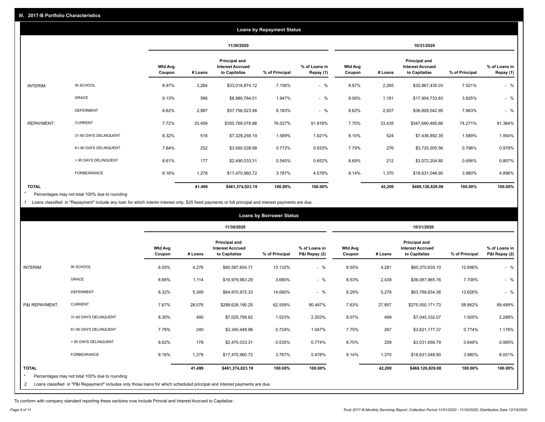|                   |                       |                          |         |                                                           | <b>Loans by Repayment Status</b> |                            |                   |         |                                                           |                |                            |
|-------------------|-----------------------|--------------------------|---------|-----------------------------------------------------------|----------------------------------|----------------------------|-------------------|---------|-----------------------------------------------------------|----------------|----------------------------|
|                   |                       |                          |         | 11/30/2020                                                |                                  |                            |                   |         | 10/31/2020                                                |                |                            |
|                   |                       | <b>Wtd Avg</b><br>Coupon | # Loans | Principal and<br><b>Interest Accrued</b><br>to Capitalize | % of Principal                   | % of Loans in<br>Repay (1) | Wtd Avg<br>Coupon | # Loans | Principal and<br><b>Interest Accrued</b><br>to Capitalize | % of Principal | % of Loans in<br>Repay (1) |
| INTERIM:          | IN SCHOOL             | 8.97%                    | 2,264   | \$33,016,874.12                                           | 7.156%                           | $-$ %                      | 8.97%             | 2,265   | \$32,867,435.03                                           | 7.021%         | $-$ %                      |
|                   | <b>GRACE</b>          | 9.13%                    | 566     | \$8,980,764.01                                            | 1.947%                           | $-$ %                      | 9.06%             | 1,181   | \$17,904,733.83                                           | 3.825%         | $-$ %                      |
|                   | <b>DEFERMENT</b>      | 8.62%                    | 2,987   | \$37,756,523.98                                           | 8.183%                           | $-$ %                      | 8.62%             | 2,937   | \$36,809,042.95                                           | 7.863%         | $-$ %                      |
| <b>REPAYMENT:</b> | <b>CURRENT</b>        | 7.72%                    | 33,459  | \$350,769,078.88                                          | 76.027%                          | 91.916%                    | 7.70%             | 33,435  | \$347,680,465.66                                          | 74.271%        | 91.364%                    |
|                   | 31-60 DAYS DELINQUENT | 8.32%                    | 516     | \$7,329,259.19                                            | 1.589%                           | 1.921%                     | 8.10%             | 524     | \$7,436,892.35                                            | 1.589%         | 1.954%                     |
|                   | 61-90 DAYS DELINQUENT | 7.84%                    | 252     | \$3,560,528.98                                            | 0.772%                           | 0.933%                     | 7.79%             | 276     | \$3,725,005.56                                            | 0.796%         | 0.979%                     |
|                   | > 90 DAYS DELINQUENT  | 8.61%                    | 177     | \$2,490,033.31                                            | 0.540%                           | 0.652%                     | 8.69%             | 212     | \$3,072,204.80                                            | 0.656%         | 0.807%                     |
|                   | FORBEARANCE           | 8.16%                    | 1,278   | \$17,470,960.72                                           | 3.787%                           | 4.578%                     | 8.14%             | 1,370   | \$18,631,048.90                                           | 3.980%         | 4.896%                     |
| <b>TOTAL</b>      |                       |                          | 41,499  | \$461,374,023.19                                          | 100.00%                          | 100.00%                    |                   | 42,200  | \$468,126,829.08                                          | 100.00%        | 100.00%                    |

Percentages may not total 100% due to rounding \*

1 Loans classified in "Repayment" include any loan for which interim interest only, \$25 fixed payments or full principal and interest payments are due.

|                                |                                                                                                                                                                              |                          |         |                                                                  | <b>Loans by Borrower Status</b> |                                |                          |         |                                                                  |                |                                |
|--------------------------------|------------------------------------------------------------------------------------------------------------------------------------------------------------------------------|--------------------------|---------|------------------------------------------------------------------|---------------------------------|--------------------------------|--------------------------|---------|------------------------------------------------------------------|----------------|--------------------------------|
|                                |                                                                                                                                                                              |                          |         | 11/30/2020                                                       |                                 |                                |                          |         | 10/31/2020                                                       |                |                                |
|                                |                                                                                                                                                                              | <b>Wtd Avg</b><br>Coupon | # Loans | <b>Principal and</b><br><b>Interest Accrued</b><br>to Capitalize | % of Principal                  | % of Loans in<br>P&I Repay (2) | <b>Wtd Avg</b><br>Coupon | # Loans | <b>Principal and</b><br><b>Interest Accrued</b><br>to Capitalize | % of Principal | % of Loans in<br>P&I Repay (2) |
| <b>INTERIM:</b>                | IN SCHOOL                                                                                                                                                                    | 8.55%                    | 4,276   | \$60,587,654.71                                                  | 13.132%                         | $-$ %                          | 8.55%                    | 4,281   | \$60,370,639.10                                                  | 12.896%        | $-$ %                          |
|                                | GRACE                                                                                                                                                                        | 8.66%                    | 1,114   | \$16,979,963.29                                                  | 3.680%                          | $-$ %                          | 8.53%                    | 2,439   | \$36,087,965.76                                                  | 7.709%         | $-$ %                          |
|                                | <b>DEFERMENT</b>                                                                                                                                                             | 8.32%                    | 5,349   | \$64,870,972.33                                                  | 14.060%                         | $-$ %                          | 8.29%                    | 5,278   | \$63,788,834.36                                                  | 13.626%        | $-$ %                          |
| P&I REPAYMENT:                 | <b>CURRENT</b>                                                                                                                                                               | 7.67%                    | 28,576  | \$288,628,190.25                                                 | 62.558%                         | 90.497%                        | 7.63%                    | 27,857  | \$275,550,171.73                                                 | 58.862%        | 89.499%                        |
|                                | 31-60 DAYS DELINQUENT                                                                                                                                                        | 8.30%                    | 490     | \$7,025,799.62                                                   | 1.523%                          | 2.203%                         | 8.07%                    | 499     | \$7,045,332.07                                                   | 1.505%         | 2.288%                         |
|                                | 61-90 DAYS DELINQUENT                                                                                                                                                        | 7.78%                    | 240     | \$3,340,448.96                                                   | 0.724%                          | 1.047%                         | 7.75%                    | 267     | \$3,621,177.37                                                   | 0.774%         | 1.176%                         |
|                                | > 90 DAYS DELINQUENT                                                                                                                                                         | 8.62%                    | 176     | \$2,470,033.31                                                   | 0.535%                          | 0.774%                         | 8.70%                    | 209     | \$3,031,659.79                                                   | 0.648%         | 0.985%                         |
|                                | <b>FORBEARANCE</b>                                                                                                                                                           | 8.16%                    | 1,278   | \$17,470,960.72                                                  | 3.787%                          | 5.478%                         | 8.14%                    | 1,370   | \$18,631,048.90                                                  | 3.980%         | 6.051%                         |
| <b>TOTAL</b><br>$\overline{2}$ | Percentages may not total 100% due to rounding<br>Loans classified in "P&I Repayment" includes only those loans for which scheduled principal and interest payments are due. |                          | 41,499  | \$461,374,023.19                                                 | 100.00%                         | 100.00%                        |                          | 42,200  | \$468,126,829.08                                                 | 100.00%        | 100.00%                        |

To conform with company standard reporting these sections now include Princial and Interest Accrued to Capitalize .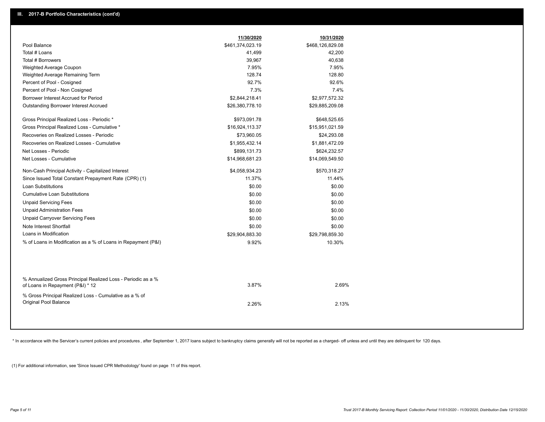|                                                                                                  | 11/30/2020       | 10/31/2020       |  |
|--------------------------------------------------------------------------------------------------|------------------|------------------|--|
| Pool Balance                                                                                     | \$461,374,023.19 | \$468,126,829.08 |  |
| Total # Loans                                                                                    | 41,499           | 42,200           |  |
| Total # Borrowers                                                                                | 39,967           | 40,638           |  |
| Weighted Average Coupon                                                                          | 7.95%            | 7.95%            |  |
| Weighted Average Remaining Term                                                                  | 128.74           | 128.80           |  |
| Percent of Pool - Cosigned                                                                       | 92.7%            | 92.6%            |  |
| Percent of Pool - Non Cosigned                                                                   | 7.3%             | 7.4%             |  |
| Borrower Interest Accrued for Period                                                             | \$2,844,218.41   | \$2,977,572.32   |  |
| Outstanding Borrower Interest Accrued                                                            | \$26,380,778.10  | \$29,885,209.08  |  |
| Gross Principal Realized Loss - Periodic *                                                       | \$973,091.78     | \$648,525.65     |  |
| Gross Principal Realized Loss - Cumulative *                                                     | \$16,924,113.37  | \$15,951,021.59  |  |
| Recoveries on Realized Losses - Periodic                                                         | \$73,960.05      | \$24,293.08      |  |
| Recoveries on Realized Losses - Cumulative                                                       | \$1,955,432.14   | \$1,881,472.09   |  |
| Net Losses - Periodic                                                                            | \$899,131.73     | \$624,232.57     |  |
| Net Losses - Cumulative                                                                          | \$14,968,681.23  | \$14,069,549.50  |  |
| Non-Cash Principal Activity - Capitalized Interest                                               | \$4,058,934.23   | \$570,318.27     |  |
| Since Issued Total Constant Prepayment Rate (CPR) (1)                                            | 11.37%           | 11.44%           |  |
| <b>Loan Substitutions</b>                                                                        | \$0.00           | \$0.00           |  |
| <b>Cumulative Loan Substitutions</b>                                                             | \$0.00           | \$0.00           |  |
| <b>Unpaid Servicing Fees</b>                                                                     | \$0.00           | \$0.00           |  |
| <b>Unpaid Administration Fees</b>                                                                | \$0.00           | \$0.00           |  |
| <b>Unpaid Carryover Servicing Fees</b>                                                           | \$0.00           | \$0.00           |  |
| Note Interest Shortfall                                                                          | \$0.00           | \$0.00           |  |
| Loans in Modification                                                                            | \$29,904,883.30  | \$29,798,859.30  |  |
| % of Loans in Modification as a % of Loans in Repayment (P&I)                                    | 9.92%            | 10.30%           |  |
|                                                                                                  |                  |                  |  |
| % Annualized Gross Principal Realized Loss - Periodic as a %<br>of Loans in Repayment (P&I) * 12 | 3.87%            | 2.69%            |  |
| % Gross Principal Realized Loss - Cumulative as a % of<br>Original Pool Balance                  | 2.26%            | 2.13%            |  |

\* In accordance with the Servicer's current policies and procedures, after September 1, 2017 loans subject to bankruptcy claims generally will not be reported as a charged- off unless and until they are delinquent for 120

(1) For additional information, see 'Since Issued CPR Methodology' found on page 11 of this report.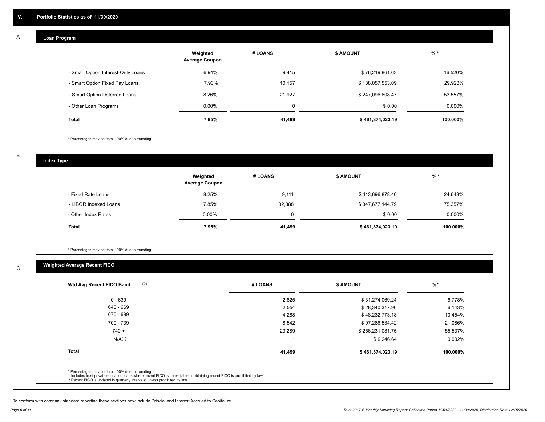#### **Loan Program**  A

|                                    | Weighted<br><b>Average Coupon</b> | # LOANS     | <b>\$ AMOUNT</b> | $%$ *    |
|------------------------------------|-----------------------------------|-------------|------------------|----------|
| - Smart Option Interest-Only Loans | 6.94%                             | 9,415       | \$76,219,861.63  | 16.520%  |
| - Smart Option Fixed Pay Loans     | 7.93%                             | 10,157      | \$138,057,553.09 | 29.923%  |
| - Smart Option Deferred Loans      | 8.26%                             | 21.927      | \$247,096,608.47 | 53.557%  |
| - Other Loan Programs              | $0.00\%$                          | $\mathbf 0$ | \$0.00           | 0.000%   |
| <b>Total</b>                       | 7.95%                             | 41,499      | \$461,374,023.19 | 100.000% |

\* Percentages may not total 100% due to rounding

B

C

**Index Type**

|                       | Weighted<br><b>Average Coupon</b> | # LOANS     | <b>\$ AMOUNT</b> | $%$ *     |
|-----------------------|-----------------------------------|-------------|------------------|-----------|
| - Fixed Rate Loans    | 8.25%                             | 9,111       | \$113,696,878.40 | 24.643%   |
| - LIBOR Indexed Loans | 7.85%                             | 32,388      | \$347,677,144.79 | 75.357%   |
| - Other Index Rates   | $0.00\%$                          | $\mathbf 0$ | \$0.00           | $0.000\%$ |
| <b>Total</b>          | 7.95%                             | 41,499      | \$461,374,023.19 | 100.000%  |

\* Percentages may not total 100% due to rounding

# **Weighted Average Recent FICO**

| 2,825<br>2,554<br>4,288 | \$31,274,069.24<br>\$28,340,317.96<br>\$48,232,773.18 | 6.778%<br>6.143% |
|-------------------------|-------------------------------------------------------|------------------|
|                         |                                                       |                  |
|                         |                                                       |                  |
|                         |                                                       | 10.454%          |
| 8,542                   | \$97,286,534.42                                       | 21.086%          |
| 23,289                  | \$256,231,081.75                                      | 55.537%          |
|                         | \$9,246.64                                            | 0.002%           |
| 41,499                  | \$461,374,023.19                                      | 100.000%         |
|                         |                                                       |                  |

To conform with company standard reporting these sections now include Princial and Interest Accrued to Capitalize .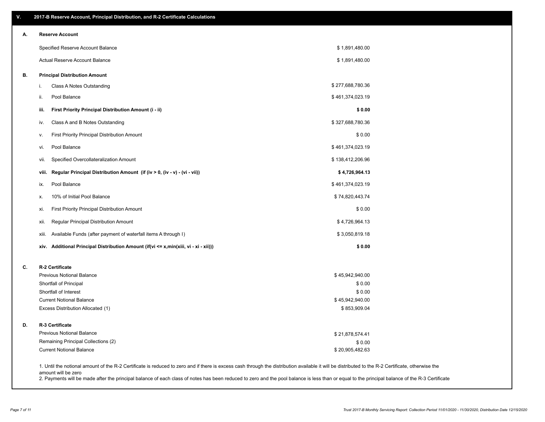| V. | 2017-B Reserve Account, Principal Distribution, and R-2 Certificate Calculations                                                                                                                   |                                 |  |
|----|----------------------------------------------------------------------------------------------------------------------------------------------------------------------------------------------------|---------------------------------|--|
| А. | <b>Reserve Account</b>                                                                                                                                                                             |                                 |  |
|    | Specified Reserve Account Balance                                                                                                                                                                  | \$1,891,480.00                  |  |
|    | Actual Reserve Account Balance                                                                                                                                                                     | \$1,891,480.00                  |  |
| В. | <b>Principal Distribution Amount</b>                                                                                                                                                               |                                 |  |
|    | Class A Notes Outstanding<br>i.                                                                                                                                                                    | \$277,688,780.36                |  |
|    | Pool Balance<br>ii.                                                                                                                                                                                | \$461,374,023.19                |  |
|    | iii.<br>First Priority Principal Distribution Amount (i - ii)                                                                                                                                      | \$0.00                          |  |
|    | Class A and B Notes Outstanding<br>iv.                                                                                                                                                             | \$327,688,780.36                |  |
|    | <b>First Priority Principal Distribution Amount</b><br>ν.                                                                                                                                          | \$0.00                          |  |
|    | Pool Balance<br>vi.                                                                                                                                                                                | \$461,374,023.19                |  |
|    | Specified Overcollateralization Amount<br>vii.                                                                                                                                                     | \$138,412,206.96                |  |
|    | Regular Principal Distribution Amount (if (iv > 0, (iv - v) - (vi - vii))<br>viii.                                                                                                                 | \$4,726,964.13                  |  |
|    | Pool Balance<br>ix.                                                                                                                                                                                | \$461,374,023.19                |  |
|    | 10% of Initial Pool Balance<br>х.                                                                                                                                                                  | \$74,820,443.74                 |  |
|    | First Priority Principal Distribution Amount<br>xi.                                                                                                                                                | \$0.00                          |  |
|    | Regular Principal Distribution Amount<br>xii.                                                                                                                                                      | \$4,726,964.13                  |  |
|    | Available Funds (after payment of waterfall items A through I)<br>xiii.                                                                                                                            | \$3,050,819.18                  |  |
|    | xiv. Additional Principal Distribution Amount (if(vi <= x,min(xiii, vi - xi - xii)))                                                                                                               | \$0.00                          |  |
| C. | R-2 Certificate                                                                                                                                                                                    |                                 |  |
|    | <b>Previous Notional Balance</b>                                                                                                                                                                   | \$45,942,940.00                 |  |
|    | Shortfall of Principal                                                                                                                                                                             | \$0.00                          |  |
|    | Shortfall of Interest                                                                                                                                                                              | \$0.00                          |  |
|    | <b>Current Notional Balance</b><br>Excess Distribution Allocated (1)                                                                                                                               | \$45,942,940.00<br>\$853,909.04 |  |
| D. | R-3 Certificate                                                                                                                                                                                    |                                 |  |
|    | <b>Previous Notional Balance</b>                                                                                                                                                                   |                                 |  |
|    | Remaining Principal Collections (2)                                                                                                                                                                | \$21,878,574.41<br>\$0.00       |  |
|    | <b>Current Notional Balance</b>                                                                                                                                                                    | \$20,905,482.63                 |  |
|    | 1. Until the notional amount of the R-2 Certificate is reduced to zero and if there is excess cash through the distribution available it will be distributed to the R-2 Certificate, otherwise the |                                 |  |

amount will be zero

2. Payments will be made after the principal balance of each class of notes has been reduced to zero and the pool balance is less than or equal to the principal balance of the R-3 Certificate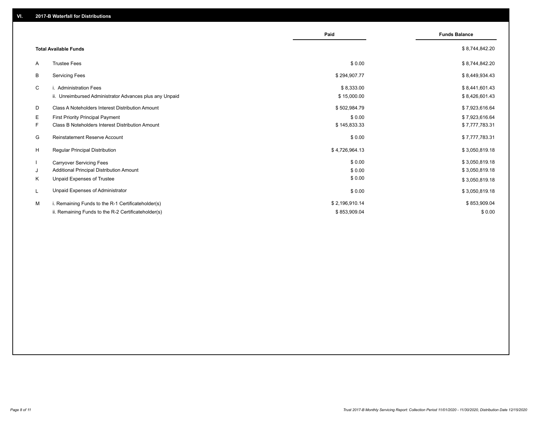|    |                                                         | Paid           | <b>Funds Balance</b> |
|----|---------------------------------------------------------|----------------|----------------------|
|    | <b>Total Available Funds</b>                            |                | \$8,744,842.20       |
| A  | <b>Trustee Fees</b>                                     | \$0.00         | \$8,744,842.20       |
| B  | <b>Servicing Fees</b>                                   | \$294,907.77   | \$8,449,934.43       |
| C  | i. Administration Fees                                  | \$8,333.00     | \$8,441,601.43       |
|    | ii. Unreimbursed Administrator Advances plus any Unpaid | \$15,000.00    | \$8,426,601.43       |
| D  | Class A Noteholders Interest Distribution Amount        | \$502,984.79   | \$7,923,616.64       |
| E. | <b>First Priority Principal Payment</b>                 | \$0.00         | \$7,923,616.64       |
| F. | Class B Noteholders Interest Distribution Amount        | \$145,833.33   | \$7,777,783.31       |
| G  | <b>Reinstatement Reserve Account</b>                    | \$0.00         | \$7,777,783.31       |
| H  | <b>Regular Principal Distribution</b>                   | \$4,726,964.13 | \$3,050,819.18       |
|    | <b>Carryover Servicing Fees</b>                         | \$0.00         | \$3,050,819.18       |
| J  | Additional Principal Distribution Amount                | \$0.00         | \$3,050,819.18       |
| Κ  | Unpaid Expenses of Trustee                              | \$0.00         | \$3,050,819.18       |
| L  | Unpaid Expenses of Administrator                        | \$0.00         | \$3,050,819.18       |
| M  | i. Remaining Funds to the R-1 Certificateholder(s)      | \$2,196,910.14 | \$853,909.04         |
|    | ii. Remaining Funds to the R-2 Certificateholder(s)     | \$853,909.04   | \$0.00               |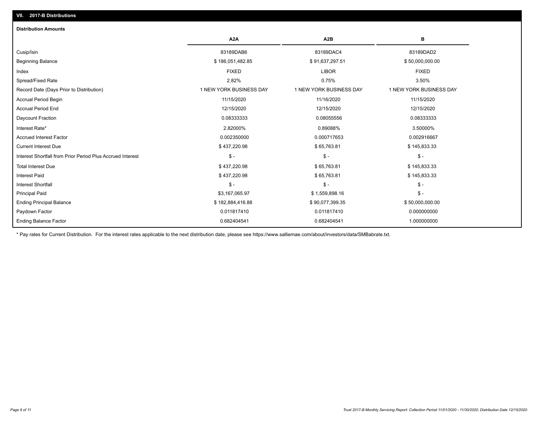| <b>Distribution Amounts</b>                                |                         |                         |                         |
|------------------------------------------------------------|-------------------------|-------------------------|-------------------------|
|                                                            | A <sub>2</sub> A        | A <sub>2</sub> B        | в                       |
| Cusip/Isin                                                 | 83189DAB6               | 83189DAC4               | 83189DAD2               |
| <b>Beginning Balance</b>                                   | \$186,051,482.85        | \$91,637,297.51         | \$50,000,000.00         |
| Index                                                      | <b>FIXED</b>            | <b>LIBOR</b>            | <b>FIXED</b>            |
| Spread/Fixed Rate                                          | 2.82%                   | 0.75%                   | 3.50%                   |
| Record Date (Days Prior to Distribution)                   | 1 NEW YORK BUSINESS DAY | 1 NEW YORK BUSINESS DAY | 1 NEW YORK BUSINESS DAY |
| <b>Accrual Period Begin</b>                                | 11/15/2020              | 11/16/2020              | 11/15/2020              |
| <b>Accrual Period End</b>                                  | 12/15/2020              | 12/15/2020              | 12/15/2020              |
| Daycount Fraction                                          | 0.08333333              | 0.08055556              | 0.08333333              |
| Interest Rate*                                             | 2.82000%                | 0.89088%                | 3.50000%                |
| <b>Accrued Interest Factor</b>                             | 0.002350000             | 0.000717653             | 0.002916667             |
| <b>Current Interest Due</b>                                | \$437,220.98            | \$65,763.81             | \$145,833.33            |
| Interest Shortfall from Prior Period Plus Accrued Interest | $\mathcal{S}$ -         | $\mathsf{\$}$ -         | $\mathsf{\$}$ -         |
| <b>Total Interest Due</b>                                  | \$437,220.98            | \$65,763.81             | \$145,833.33            |
| <b>Interest Paid</b>                                       | \$437,220.98            | \$65,763.81             | \$145,833.33            |
| Interest Shortfall                                         | $\mathsf{\$}$ -         | $\mathsf{\$}$ -         | $$ -$                   |
| <b>Principal Paid</b>                                      | \$3,167,065.97          | \$1,559,898.16          | $$ -$                   |
| <b>Ending Principal Balance</b>                            | \$182,884,416.88        | \$90,077,399.35         | \$50,000,000.00         |
| Paydown Factor                                             | 0.011817410             | 0.011817410             | 0.000000000             |
| Ending Balance Factor                                      | 0.682404541             | 0.682404541             | 1.000000000             |

\* Pay rates for Current Distribution. For the interest rates applicable to the next distribution date, please see https://www.salliemae.com/about/investors/data/SMBabrate.txt.

**VII. 2017-B Distributions**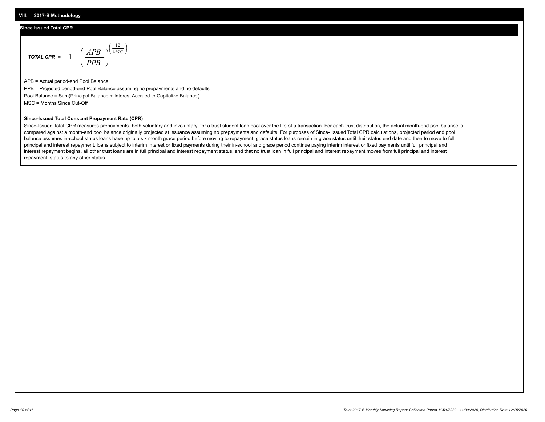## **Since Issued Total CPR**

$$
\text{total CPR} = 1 - \left(\frac{APB}{PPB}\right)^{\left(\frac{12}{MSC}\right)}
$$

APB = Actual period-end Pool Balance PPB = Projected period-end Pool Balance assuming no prepayments and no defaults Pool Balance = Sum(Principal Balance + Interest Accrued to Capitalize Balance) MSC = Months Since Cut-Off

### **Since-Issued Total Constant Prepayment Rate (CPR)**

Since-Issued Total CPR measures prepayments, both voluntary and involuntary, for a trust student loan pool over the life of a transaction. For each trust distribution, the actual month-end pool balance is compared against a month-end pool balance originally projected at issuance assuming no prepayments and defaults. For purposes of Since- Issued Total CPR calculations, projected period end pool balance assumes in-school status loans have up to a six month grace period before moving to repayment, grace status loans remain in grace status until their status end date and then to move to full principal and interest repayment, loans subject to interim interest or fixed payments during their in-school and grace period continue paying interim interest or fixed payments until full principal and interest repayment begins, all other trust loans are in full principal and interest repayment status, and that no trust loan in full principal and interest repayment moves from full principal and interest repayment status to any other status.